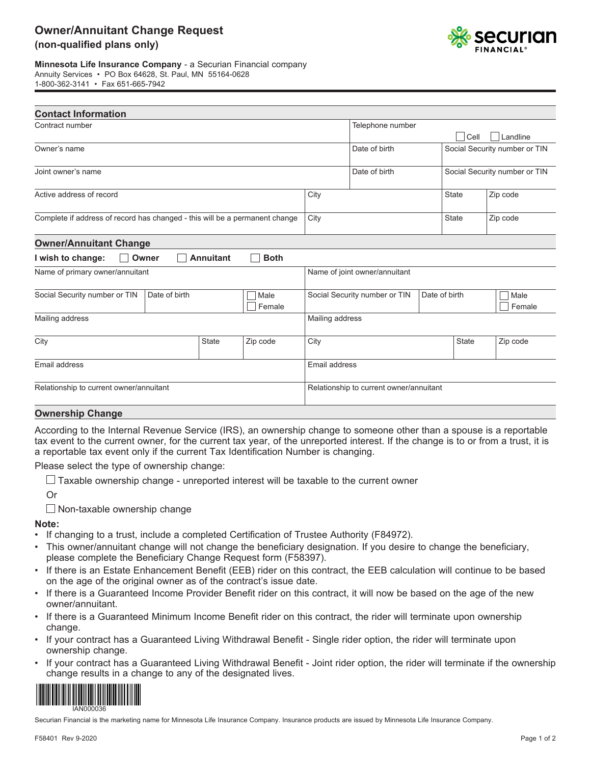

**Minnesota Life Insurance Company** - a Securian Financial company Annuity Services • PO Box 64628, St. Paul, MN 55164-0628

|--|

| <b>Contact Information</b>                                                  |                  |             |                                                                  |                                                |              |              |                               |
|-----------------------------------------------------------------------------|------------------|-------------|------------------------------------------------------------------|------------------------------------------------|--------------|--------------|-------------------------------|
| Contract number                                                             |                  |             |                                                                  | Telephone number                               |              |              |                               |
|                                                                             |                  |             |                                                                  |                                                |              | Cell         | Landline                      |
| Owner's name                                                                |                  |             |                                                                  | Date of birth                                  |              |              | Social Security number or TIN |
| Joint owner's name                                                          |                  |             |                                                                  | Date of birth<br>Social Security number or TIN |              |              |                               |
| Active address of record                                                    |                  |             |                                                                  |                                                |              | <b>State</b> | Zip code                      |
| Complete if address of record has changed - this will be a permanent change |                  |             | City                                                             |                                                |              | <b>State</b> | Zip code                      |
| <b>Owner/Annuitant Change</b>                                               |                  |             |                                                                  |                                                |              |              |                               |
| I wish to change:<br>Owner                                                  | <b>Annuitant</b> | <b>Both</b> |                                                                  |                                                |              |              |                               |
| Name of primary owner/annuitant                                             |                  |             | Name of joint owner/annuitant                                    |                                                |              |              |                               |
| Social Security number or TIN<br>Date of birth<br>Male<br>Female            |                  |             | Social Security number or TIN<br>Date of birth<br>Male<br>Female |                                                |              |              |                               |
| Mailing address                                                             |                  |             | Mailing address                                                  |                                                |              |              |                               |
| City<br><b>State</b>                                                        |                  | Zip code    | City                                                             |                                                | <b>State</b> | Zip code     |                               |
| Email address                                                               |                  |             |                                                                  | Email address                                  |              |              |                               |
| Relationship to current owner/annuitant                                     |                  |             | Relationship to current owner/annuitant                          |                                                |              |              |                               |
|                                                                             |                  |             |                                                                  |                                                |              |              |                               |

## **Ownership Change**

According to the Internal Revenue Service (IRS), an ownership change to someone other than a spouse is a reportable tax event to the current owner, for the current tax year, of the unreported interest. If the change is to or from a trust, it is a reportable tax event only if the current Tax Identification Number is changing.

Please select the type of ownership change:

 $\Box$  Taxable ownership change - unreported interest will be taxable to the current owner

Or

 $\Box$  Non-taxable ownership change

## **Note:**

- If changing to a trust, include a completed Certification of Trustee Authority (F84972).
- This owner/annuitant change will not change the beneficiary designation. If you desire to change the beneficiary, please complete the Beneficiary Change Request form (F58397).
- If there is an Estate Enhancement Benefit (EEB) rider on this contract, the EEB calculation will continue to be based on the age of the original owner as of the contract's issue date.
- If there is a Guaranteed Income Provider Benefit rider on this contract, it will now be based on the age of the new owner/annuitant.
- If there is a Guaranteed Minimum Income Benefit rider on this contract, the rider will terminate upon ownership change.
- If your contract has a Guaranteed Living Withdrawal Benefit Single rider option, the rider will terminate upon ownership change.
- If your contract has a Guaranteed Living Withdrawal Benefit Joint rider option, the rider will terminate if the ownership change results in a change to any of the designated lives.



Securian Financial is the marketing name for Minnesota Life Insurance Company. Insurance products are issued by Minnesota Life Insurance Company.